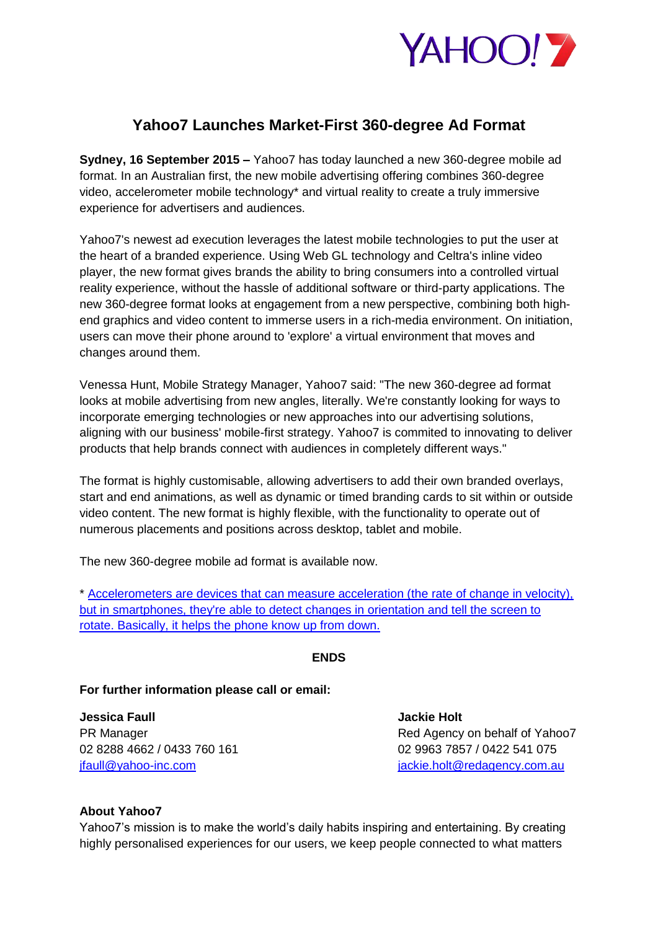

## **Yahoo7 Launches Market-First 360-degree Ad Format**

**Sydney, 16 September 2015 –** Yahoo7 has today launched a new 360-degree mobile ad format. In an Australian first, the new mobile advertising offering combines 360-degree video, accelerometer mobile technology\* and virtual reality to create a truly immersive experience for advertisers and audiences.

Yahoo7's newest ad execution leverages the latest mobile technologies to put the user at the heart of a branded experience. Using Web GL technology and Celtra's inline video player, the new format gives brands the ability to bring consumers into a controlled virtual reality experience, without the hassle of additional software or third-party applications. The new 360-degree format looks at engagement from a new perspective, combining both highend graphics and video content to immerse users in a rich-media environment. On initiation, users can move their phone around to 'explore' a virtual environment that moves and changes around them.

Venessa Hunt, Mobile Strategy Manager, Yahoo7 said: "The new 360-degree ad format looks at mobile advertising from new angles, literally. We're constantly looking for ways to incorporate emerging technologies or new approaches into our advertising solutions, aligning with our business' mobile-first strategy. Yahoo7 is commited to innovating to deliver products that help brands connect with audiences in completely different ways."

The format is highly customisable, allowing advertisers to add their own branded overlays, start and end animations, as well as dynamic or timed branding cards to sit within or outside video content. The new format is highly flexible, with the functionality to operate out of numerous placements and positions across desktop, tablet and mobile.

The new 360-degree mobile ad format is available now.

\* [Accelerometers are devices that can measure acceleration \(the rate of change in velocity\),](http://www.ibtimes.com/how-does-accelerometer-work-smartphone-bill-hammack-engineer-guy-explains-full-text-699762)  [but in smartphones, they're able to detect changes in orientation and tell the screen to](http://www.ibtimes.com/how-does-accelerometer-work-smartphone-bill-hammack-engineer-guy-explains-full-text-699762)  [rotate. Basically, it helps the phone know up from down.](http://www.ibtimes.com/how-does-accelerometer-work-smartphone-bill-hammack-engineer-guy-explains-full-text-699762)

## **ENDS**

## **For further information please call or email:**

**Jessica Faull Jackie Holt** 

PR Manager **PR Manager Red Agency on behalf of Yahoo7** 02 8288 4662 / 0433 760 161 02 9963 7857 / 0422 541 075 [jfaull@yahoo-inc.com](mailto:jfaull@yahoo-inc.com) is a set of the set of the inclusion of the inclusion of the inclusion of the inclusion of the inclusion of the inclusion of the inclusion of the inclusion of the inclusion of the inclusion of the incl

## **About Yahoo7**

Yahoo7's mission is to make the world's daily habits inspiring and entertaining. By creating highly personalised experiences for our users, we keep people connected to what matters